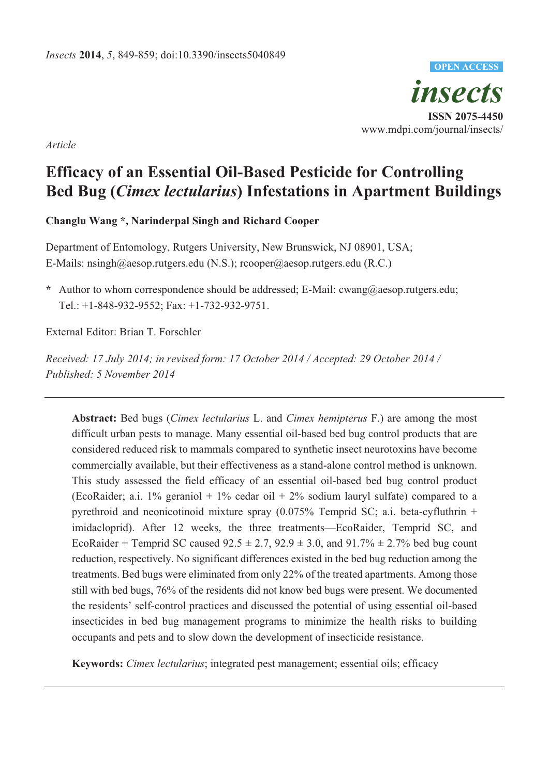

*Article* 

# **Efficacy of an Essential Oil-Based Pesticide for Controlling Bed Bug (***Cimex lectularius***) Infestations in Apartment Buildings**

**Changlu Wang \*, Narinderpal Singh and Richard Cooper** 

Department of Entomology, Rutgers University, New Brunswick, NJ 08901, USA; E-Mails: nsingh@aesop.rutgers.edu (N.S.); rcooper@aesop.rutgers.edu (R.C.)

**\*** Author to whom correspondence should be addressed; E-Mail: cwang@aesop.rutgers.edu; Tel.: +1-848-932-9552; Fax: +1-732-932-9751.

External Editor: Brian T. Forschler

*Received: 17 July 2014; in revised form: 17 October 2014 / Accepted: 29 October 2014 / Published: 5 November 2014* 

**Abstract:** Bed bugs (*Cimex lectularius* L. and *Cimex hemipterus* F.) are among the most difficult urban pests to manage. Many essential oil-based bed bug control products that are considered reduced risk to mammals compared to synthetic insect neurotoxins have become commercially available, but their effectiveness as a stand-alone control method is unknown. This study assessed the field efficacy of an essential oil-based bed bug control product (EcoRaider; a.i. 1% geraniol + 1% cedar oil + 2% sodium lauryl sulfate) compared to a pyrethroid and neonicotinoid mixture spray (0.075% Temprid SC; a.i. beta-cyfluthrin + imidacloprid). After 12 weeks, the three treatments—EcoRaider, Temprid SC, and EcoRaider + Temprid SC caused  $92.5 \pm 2.7$ ,  $92.9 \pm 3.0$ , and  $91.7\% \pm 2.7\%$  bed bug count reduction, respectively. No significant differences existed in the bed bug reduction among the treatments. Bed bugs were eliminated from only 22% of the treated apartments. Among those still with bed bugs, 76% of the residents did not know bed bugs were present. We documented the residents' self-control practices and discussed the potential of using essential oil-based insecticides in bed bug management programs to minimize the health risks to building occupants and pets and to slow down the development of insecticide resistance.

**Keywords:** *Cimex lectularius*; integrated pest management; essential oils; efficacy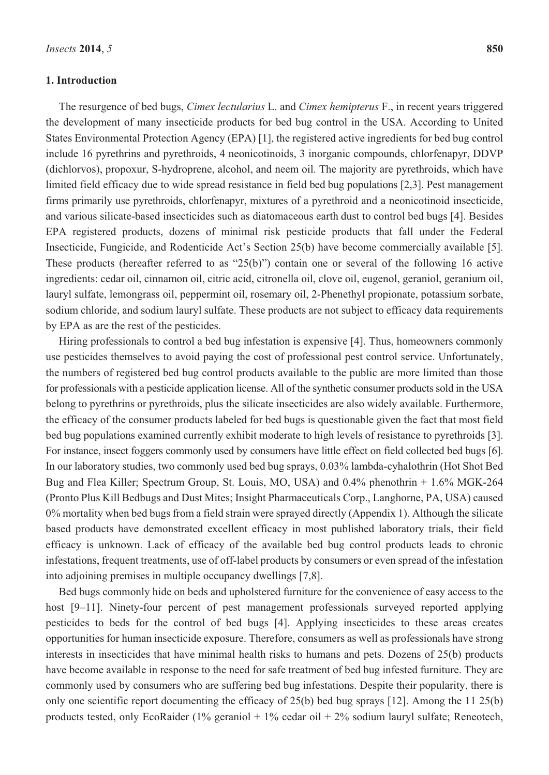## **1. Introduction**

The resurgence of bed bugs, *Cimex lectularius* L. and *Cimex hemipterus* F., in recent years triggered the development of many insecticide products for bed bug control in the USA. According to United States Environmental Protection Agency (EPA) [1], the registered active ingredients for bed bug control include 16 pyrethrins and pyrethroids, 4 neonicotinoids, 3 inorganic compounds, chlorfenapyr, DDVP (dichlorvos), propoxur, S-hydroprene, alcohol, and neem oil. The majority are pyrethroids, which have limited field efficacy due to wide spread resistance in field bed bug populations [2,3]. Pest management firms primarily use pyrethroids, chlorfenapyr, mixtures of a pyrethroid and a neonicotinoid insecticide, and various silicate-based insecticides such as diatomaceous earth dust to control bed bugs [4]. Besides EPA registered products, dozens of minimal risk pesticide products that fall under the Federal Insecticide, Fungicide, and Rodenticide Act's Section 25(b) have become commercially available [5]. These products (hereafter referred to as "25(b)") contain one or several of the following 16 active ingredients: cedar oil, cinnamon oil, citric acid, citronella oil, clove oil, eugenol, geraniol, geranium oil, lauryl sulfate, lemongrass oil, peppermint oil, rosemary oil, 2-Phenethyl propionate, potassium sorbate, sodium chloride, and sodium lauryl sulfate. These products are not subject to efficacy data requirements by EPA as are the rest of the pesticides.

Hiring professionals to control a bed bug infestation is expensive [4]. Thus, homeowners commonly use pesticides themselves to avoid paying the cost of professional pest control service. Unfortunately, the numbers of registered bed bug control products available to the public are more limited than those for professionals with a pesticide application license. All of the synthetic consumer products sold in the USA belong to pyrethrins or pyrethroids, plus the silicate insecticides are also widely available. Furthermore, the efficacy of the consumer products labeled for bed bugs is questionable given the fact that most field bed bug populations examined currently exhibit moderate to high levels of resistance to pyrethroids [3]. For instance, insect foggers commonly used by consumers have little effect on field collected bed bugs [6]. In our laboratory studies, two commonly used bed bug sprays, 0.03% lambda-cyhalothrin (Hot Shot Bed Bug and Flea Killer; Spectrum Group, St. Louis, MO, USA) and 0.4% phenothrin + 1.6% MGK-264 (Pronto Plus Kill Bedbugs and Dust Mites; Insight Pharmaceuticals Corp., Langhorne, PA, USA) caused 0% mortality when bed bugs from a field strain were sprayed directly (Appendix 1). Although the silicate based products have demonstrated excellent efficacy in most published laboratory trials, their field efficacy is unknown. Lack of efficacy of the available bed bug control products leads to chronic infestations, frequent treatments, use of off-label products by consumers or even spread of the infestation into adjoining premises in multiple occupancy dwellings [7,8].

Bed bugs commonly hide on beds and upholstered furniture for the convenience of easy access to the host [9–11]. Ninety-four percent of pest management professionals surveyed reported applying pesticides to beds for the control of bed bugs [4]. Applying insecticides to these areas creates opportunities for human insecticide exposure. Therefore, consumers as well as professionals have strong interests in insecticides that have minimal health risks to humans and pets. Dozens of 25(b) products have become available in response to the need for safe treatment of bed bug infested furniture. They are commonly used by consumers who are suffering bed bug infestations. Despite their popularity, there is only one scientific report documenting the efficacy of 25(b) bed bug sprays [12]. Among the 11 25(b) products tested, only EcoRaider (1% geraniol + 1% cedar oil + 2% sodium lauryl sulfate; Reneotech,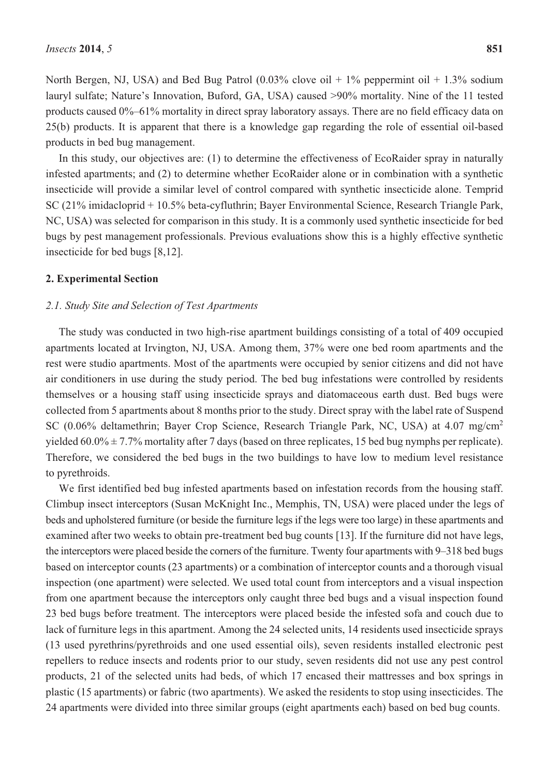North Bergen, NJ, USA) and Bed Bug Patrol  $(0.03\%$  clove oil + 1% peppermint oil + 1.3% sodium lauryl sulfate; Nature's Innovation, Buford, GA, USA) caused >90% mortality. Nine of the 11 tested products caused 0%–61% mortality in direct spray laboratory assays. There are no field efficacy data on 25(b) products. It is apparent that there is a knowledge gap regarding the role of essential oil-based products in bed bug management.

In this study, our objectives are: (1) to determine the effectiveness of EcoRaider spray in naturally infested apartments; and (2) to determine whether EcoRaider alone or in combination with a synthetic insecticide will provide a similar level of control compared with synthetic insecticide alone. Temprid SC (21% imidacloprid + 10.5% beta-cyfluthrin; Bayer Environmental Science, Research Triangle Park, NC, USA) was selected for comparison in this study. It is a commonly used synthetic insecticide for bed bugs by pest management professionals. Previous evaluations show this is a highly effective synthetic insecticide for bed bugs [8,12].

#### **2. Experimental Section**

#### *2.1. Study Site and Selection of Test Apartments*

The study was conducted in two high-rise apartment buildings consisting of a total of 409 occupied apartments located at Irvington, NJ, USA. Among them, 37% were one bed room apartments and the rest were studio apartments. Most of the apartments were occupied by senior citizens and did not have air conditioners in use during the study period. The bed bug infestations were controlled by residents themselves or a housing staff using insecticide sprays and diatomaceous earth dust. Bed bugs were collected from 5 apartments about 8 months prior to the study. Direct spray with the label rate of Suspend SC (0.06% deltamethrin; Bayer Crop Science, Research Triangle Park, NC, USA) at 4.07 mg/cm2 yielded  $60.0\% \pm 7.7\%$  mortality after 7 days (based on three replicates, 15 bed bug nymphs per replicate). Therefore, we considered the bed bugs in the two buildings to have low to medium level resistance to pyrethroids.

We first identified bed bug infested apartments based on infestation records from the housing staff. Climbup insect interceptors (Susan McKnight Inc., Memphis, TN, USA) were placed under the legs of beds and upholstered furniture (or beside the furniture legs if the legs were too large) in these apartments and examined after two weeks to obtain pre-treatment bed bug counts [13]. If the furniture did not have legs, the interceptors were placed beside the corners of the furniture. Twenty four apartments with 9–318 bed bugs based on interceptor counts (23 apartments) or a combination of interceptor counts and a thorough visual inspection (one apartment) were selected. We used total count from interceptors and a visual inspection from one apartment because the interceptors only caught three bed bugs and a visual inspection found 23 bed bugs before treatment. The interceptors were placed beside the infested sofa and couch due to lack of furniture legs in this apartment. Among the 24 selected units, 14 residents used insecticide sprays (13 used pyrethrins/pyrethroids and one used essential oils), seven residents installed electronic pest repellers to reduce insects and rodents prior to our study, seven residents did not use any pest control products, 21 of the selected units had beds, of which 17 encased their mattresses and box springs in plastic (15 apartments) or fabric (two apartments). We asked the residents to stop using insecticides. The 24 apartments were divided into three similar groups (eight apartments each) based on bed bug counts.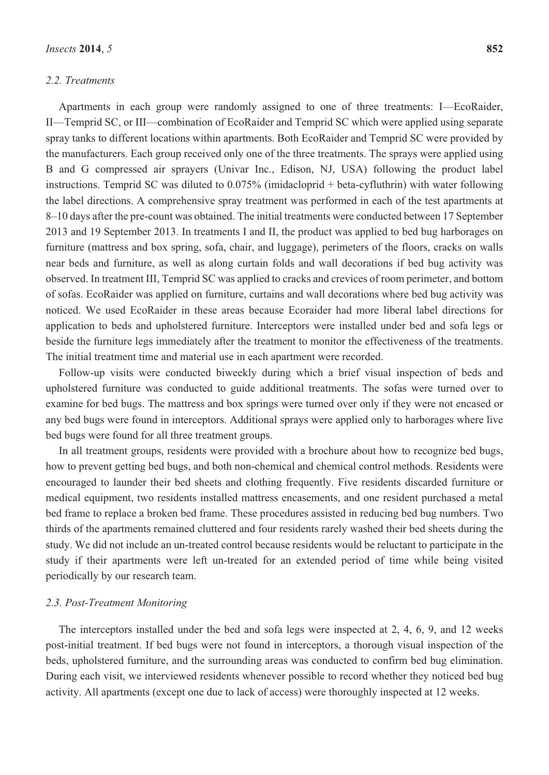#### *2.2. Treatments*

Apartments in each group were randomly assigned to one of three treatments: I—EcoRaider, II—Temprid SC, or III—combination of EcoRaider and Temprid SC which were applied using separate spray tanks to different locations within apartments. Both EcoRaider and Temprid SC were provided by the manufacturers. Each group received only one of the three treatments. The sprays were applied using B and G compressed air sprayers (Univar Inc., Edison, NJ, USA) following the product label instructions. Temprid SC was diluted to 0.075% (imidacloprid + beta-cyfluthrin) with water following the label directions. A comprehensive spray treatment was performed in each of the test apartments at 8–10 days after the pre-count was obtained. The initial treatments were conducted between 17 September 2013 and 19 September 2013. In treatments I and II, the product was applied to bed bug harborages on furniture (mattress and box spring, sofa, chair, and luggage), perimeters of the floors, cracks on walls near beds and furniture, as well as along curtain folds and wall decorations if bed bug activity was observed. In treatment III, Temprid SC was applied to cracks and crevices of room perimeter, and bottom of sofas. EcoRaider was applied on furniture, curtains and wall decorations where bed bug activity was noticed. We used EcoRaider in these areas because Ecoraider had more liberal label directions for application to beds and upholstered furniture. Interceptors were installed under bed and sofa legs or beside the furniture legs immediately after the treatment to monitor the effectiveness of the treatments. The initial treatment time and material use in each apartment were recorded.

Follow-up visits were conducted biweekly during which a brief visual inspection of beds and upholstered furniture was conducted to guide additional treatments. The sofas were turned over to examine for bed bugs. The mattress and box springs were turned over only if they were not encased or any bed bugs were found in interceptors. Additional sprays were applied only to harborages where live bed bugs were found for all three treatment groups.

In all treatment groups, residents were provided with a brochure about how to recognize bed bugs, how to prevent getting bed bugs, and both non-chemical and chemical control methods. Residents were encouraged to launder their bed sheets and clothing frequently. Five residents discarded furniture or medical equipment, two residents installed mattress encasements, and one resident purchased a metal bed frame to replace a broken bed frame. These procedures assisted in reducing bed bug numbers. Two thirds of the apartments remained cluttered and four residents rarely washed their bed sheets during the study. We did not include an un-treated control because residents would be reluctant to participate in the study if their apartments were left un-treated for an extended period of time while being visited periodically by our research team.

### *2.3. Post-Treatment Monitoring*

The interceptors installed under the bed and sofa legs were inspected at 2, 4, 6, 9, and 12 weeks post-initial treatment. If bed bugs were not found in interceptors, a thorough visual inspection of the beds, upholstered furniture, and the surrounding areas was conducted to confirm bed bug elimination. During each visit, we interviewed residents whenever possible to record whether they noticed bed bug activity. All apartments (except one due to lack of access) were thoroughly inspected at 12 weeks.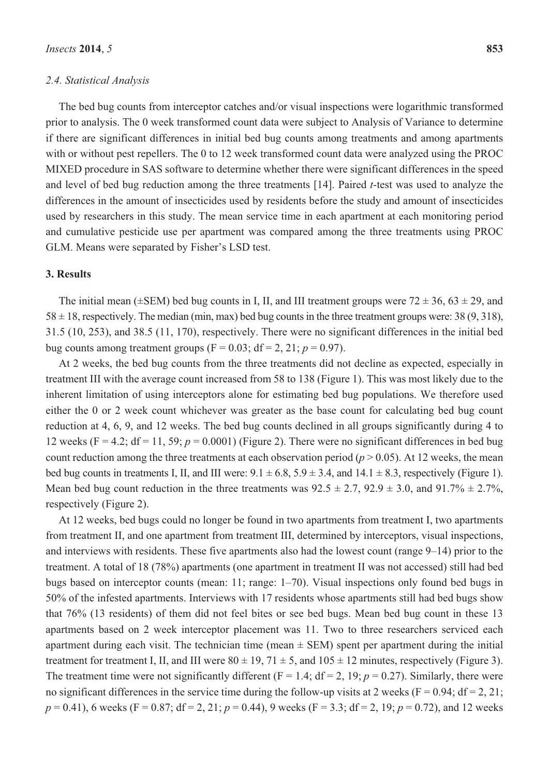#### *2.4. Statistical Analysis*

The bed bug counts from interceptor catches and/or visual inspections were logarithmic transformed prior to analysis. The 0 week transformed count data were subject to Analysis of Variance to determine if there are significant differences in initial bed bug counts among treatments and among apartments with or without pest repellers. The 0 to 12 week transformed count data were analyzed using the PROC MIXED procedure in SAS software to determine whether there were significant differences in the speed and level of bed bug reduction among the three treatments [14]. Paired *t*-test was used to analyze the differences in the amount of insecticides used by residents before the study and amount of insecticides used by researchers in this study. The mean service time in each apartment at each monitoring period and cumulative pesticide use per apartment was compared among the three treatments using PROC GLM. Means were separated by Fisher's LSD test.

#### **3. Results**

The initial mean ( $\pm$ SEM) bed bug counts in I, II, and III treatment groups were 72  $\pm$  36, 63  $\pm$  29, and  $58 \pm 18$ , respectively. The median (min, max) bed bug counts in the three treatment groups were: 38 (9, 318), 31.5 (10, 253), and 38.5 (11, 170), respectively. There were no significant differences in the initial bed bug counts among treatment groups  $(F = 0.03$ ;  $df = 2$ ,  $21$ ;  $p = 0.97$ ).

At 2 weeks, the bed bug counts from the three treatments did not decline as expected, especially in treatment III with the average count increased from 58 to 138 (Figure 1). This was most likely due to the inherent limitation of using interceptors alone for estimating bed bug populations. We therefore used either the 0 or 2 week count whichever was greater as the base count for calculating bed bug count reduction at 4, 6, 9, and 12 weeks. The bed bug counts declined in all groups significantly during 4 to 12 weeks (F = 4.2; df = 11, 59;  $p = 0.0001$ ) (Figure 2). There were no significant differences in bed bug count reduction among the three treatments at each observation period  $(p > 0.05)$ . At 12 weeks, the mean bed bug counts in treatments I, II, and III were:  $9.1 \pm 6.8$ ,  $5.9 \pm 3.4$ , and  $14.1 \pm 8.3$ , respectively (Figure 1). Mean bed bug count reduction in the three treatments was  $92.5 \pm 2.7$ ,  $92.9 \pm 3.0$ , and  $91.7\% \pm 2.7\%$ , respectively (Figure 2).

At 12 weeks, bed bugs could no longer be found in two apartments from treatment I, two apartments from treatment II, and one apartment from treatment III, determined by interceptors, visual inspections, and interviews with residents. These five apartments also had the lowest count (range 9–14) prior to the treatment. A total of 18 (78%) apartments (one apartment in treatment II was not accessed) still had bed bugs based on interceptor counts (mean: 11; range: 1–70). Visual inspections only found bed bugs in 50% of the infested apartments. Interviews with 17 residents whose apartments still had bed bugs show that 76% (13 residents) of them did not feel bites or see bed bugs. Mean bed bug count in these 13 apartments based on 2 week interceptor placement was 11. Two to three researchers serviced each apartment during each visit. The technician time (mean  $\pm$  SEM) spent per apartment during the initial treatment for treatment I, II, and III were  $80 \pm 19$ ,  $71 \pm 5$ , and  $105 \pm 12$  minutes, respectively (Figure 3). The treatment time were not significantly different  $(F = 1.4; df = 2, 19; p = 0.27)$ . Similarly, there were no significant differences in the service time during the follow-up visits at 2 weeks ( $F = 0.94$ ;  $df = 2$ , 21;  $p = 0.41$ , 6 weeks (F = 0.87; df = 2, 21;  $p = 0.44$ ), 9 weeks (F = 3.3; df = 2, 19;  $p = 0.72$ ), and 12 weeks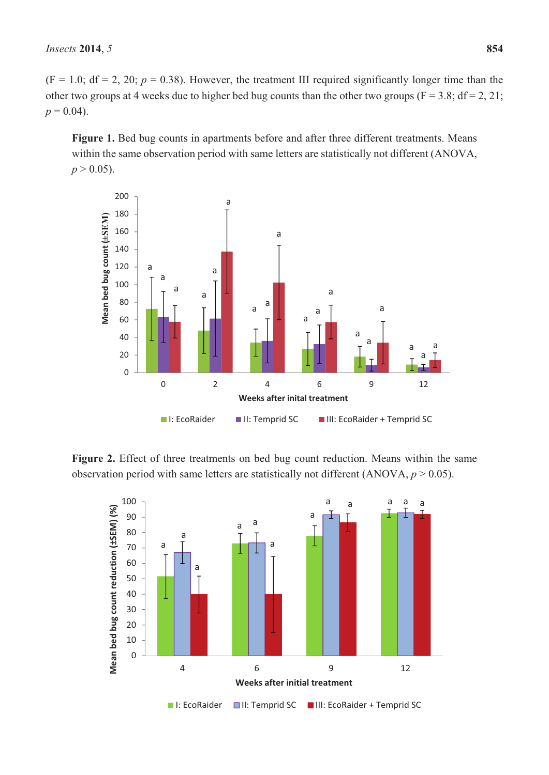$(F = 1.0; df = 2, 20; p = 0.38)$ . However, the treatment III required significantly longer time than the other two groups at 4 weeks due to higher bed bug counts than the other two groups ( $F = 3.8$ ; df = 2, 21;  $p = 0.04$ .

**Figure 1.** Bed bug counts in apartments before and after three different treatments. Means within the same observation period with same letters are statistically not different (ANOVA,  $p > 0.05$ ).



**Figure 2.** Effect of three treatments on bed bug count reduction. Means within the same observation period with same letters are statistically not different (ANOVA,  $p > 0.05$ ).

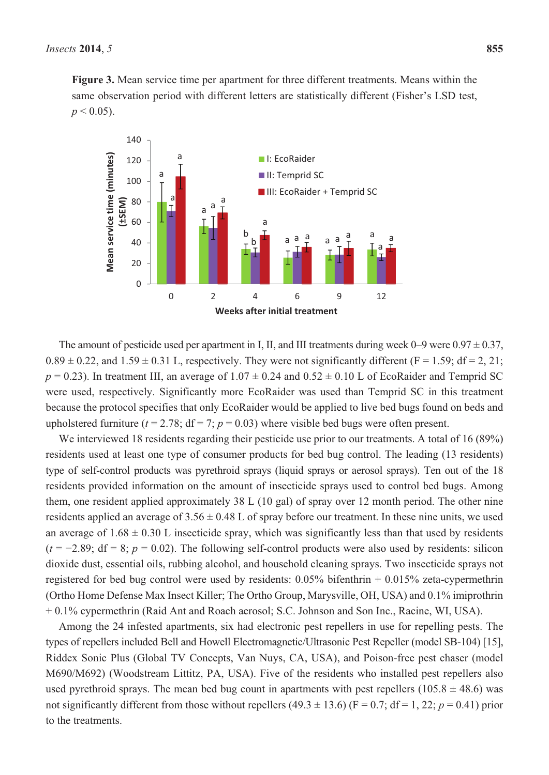**Figure 3.** Mean service time per apartment for three different treatments. Means within the same observation period with different letters are statistically different (Fisher's LSD test,  $p < 0.05$ ).



The amount of pesticide used per apartment in I, II, and III treatments during week  $0-9$  were  $0.97 \pm 0.37$ ,  $0.89 \pm 0.22$ , and  $1.59 \pm 0.31$  L, respectively. They were not significantly different (F = 1.59; df = 2, 21;  $p = 0.23$ ). In treatment III, an average of  $1.07 \pm 0.24$  and  $0.52 \pm 0.10$  L of EcoRaider and Temprid SC were used, respectively. Significantly more EcoRaider was used than Temprid SC in this treatment because the protocol specifies that only EcoRaider would be applied to live bed bugs found on beds and upholstered furniture ( $t = 2.78$ ; df = 7;  $p = 0.03$ ) where visible bed bugs were often present.

We interviewed 18 residents regarding their pesticide use prior to our treatments. A total of 16 (89%) residents used at least one type of consumer products for bed bug control. The leading (13 residents) type of self-control products was pyrethroid sprays (liquid sprays or aerosol sprays). Ten out of the 18 residents provided information on the amount of insecticide sprays used to control bed bugs. Among them, one resident applied approximately 38 L (10 gal) of spray over 12 month period. The other nine residents applied an average of  $3.56 \pm 0.48$  L of spray before our treatment. In these nine units, we used an average of  $1.68 \pm 0.30$  L insecticide spray, which was significantly less than that used by residents  $(t = -2.89; df = 8; p = 0.02)$ . The following self-control products were also used by residents: silicon dioxide dust, essential oils, rubbing alcohol, and household cleaning sprays. Two insecticide sprays not registered for bed bug control were used by residents: 0.05% bifenthrin + 0.015% zeta-cypermethrin (Ortho Home Defense Max Insect Killer; The Ortho Group, Marysville, OH, USA) and 0.1% imiprothrin + 0.1% cypermethrin (Raid Ant and Roach aerosol; S.C. Johnson and Son Inc., Racine, WI, USA).

Among the 24 infested apartments, six had electronic pest repellers in use for repelling pests. The types of repellers included Bell and Howell Electromagnetic/Ultrasonic Pest Repeller (model SB-104) [15], Riddex Sonic Plus (Global TV Concepts, Van Nuys, CA, USA), and Poison-free pest chaser (model M690/M692) (Woodstream Littitz, PA, USA). Five of the residents who installed pest repellers also used pyrethroid sprays. The mean bed bug count in apartments with pest repellers (105.8  $\pm$  48.6) was not significantly different from those without repellers  $(49.3 \pm 13.6)$  (F = 0.7; df = 1, 22; *p* = 0.41) prior to the treatments.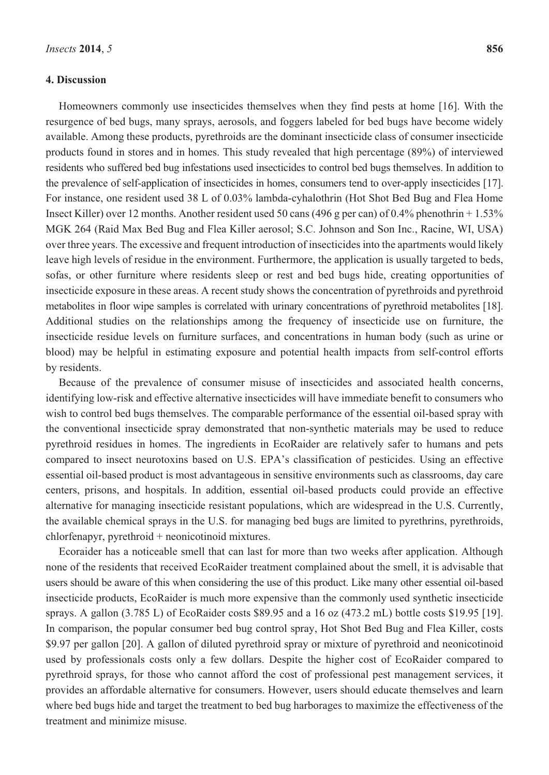### **4. Discussion**

Homeowners commonly use insecticides themselves when they find pests at home [16]. With the resurgence of bed bugs, many sprays, aerosols, and foggers labeled for bed bugs have become widely available. Among these products, pyrethroids are the dominant insecticide class of consumer insecticide products found in stores and in homes. This study revealed that high percentage (89%) of interviewed residents who suffered bed bug infestations used insecticides to control bed bugs themselves. In addition to the prevalence of self-application of insecticides in homes, consumers tend to over-apply insecticides [17]. For instance, one resident used 38 L of 0.03% lambda-cyhalothrin (Hot Shot Bed Bug and Flea Home Insect Killer) over 12 months. Another resident used 50 cans (496 g per can) of 0.4% phenothrin  $+1.53\%$ MGK 264 (Raid Max Bed Bug and Flea Killer aerosol; S.C. Johnson and Son Inc., Racine, WI, USA) over three years. The excessive and frequent introduction of insecticides into the apartments would likely leave high levels of residue in the environment. Furthermore, the application is usually targeted to beds, sofas, or other furniture where residents sleep or rest and bed bugs hide, creating opportunities of insecticide exposure in these areas. A recent study shows the concentration of pyrethroids and pyrethroid metabolites in floor wipe samples is correlated with urinary concentrations of pyrethroid metabolites [18]. Additional studies on the relationships among the frequency of insecticide use on furniture, the insecticide residue levels on furniture surfaces, and concentrations in human body (such as urine or blood) may be helpful in estimating exposure and potential health impacts from self-control efforts by residents.

Because of the prevalence of consumer misuse of insecticides and associated health concerns, identifying low-risk and effective alternative insecticides will have immediate benefit to consumers who wish to control bed bugs themselves. The comparable performance of the essential oil-based spray with the conventional insecticide spray demonstrated that non-synthetic materials may be used to reduce pyrethroid residues in homes. The ingredients in EcoRaider are relatively safer to humans and pets compared to insect neurotoxins based on U.S. EPA's classification of pesticides. Using an effective essential oil-based product is most advantageous in sensitive environments such as classrooms, day care centers, prisons, and hospitals. In addition, essential oil-based products could provide an effective alternative for managing insecticide resistant populations, which are widespread in the U.S. Currently, the available chemical sprays in the U.S. for managing bed bugs are limited to pyrethrins, pyrethroids,  $chlorfenapyr, pyrethroid + neonicotinoid mixtures.$ 

Ecoraider has a noticeable smell that can last for more than two weeks after application. Although none of the residents that received EcoRaider treatment complained about the smell, it is advisable that users should be aware of this when considering the use of this product. Like many other essential oil-based insecticide products, EcoRaider is much more expensive than the commonly used synthetic insecticide sprays. A gallon (3.785 L) of EcoRaider costs \$89.95 and a 16 oz (473.2 mL) bottle costs \$19.95 [19]. In comparison, the popular consumer bed bug control spray, Hot Shot Bed Bug and Flea Killer, costs \$9.97 per gallon [20]. A gallon of diluted pyrethroid spray or mixture of pyrethroid and neonicotinoid used by professionals costs only a few dollars. Despite the higher cost of EcoRaider compared to pyrethroid sprays, for those who cannot afford the cost of professional pest management services, it provides an affordable alternative for consumers. However, users should educate themselves and learn where bed bugs hide and target the treatment to bed bug harborages to maximize the effectiveness of the treatment and minimize misuse.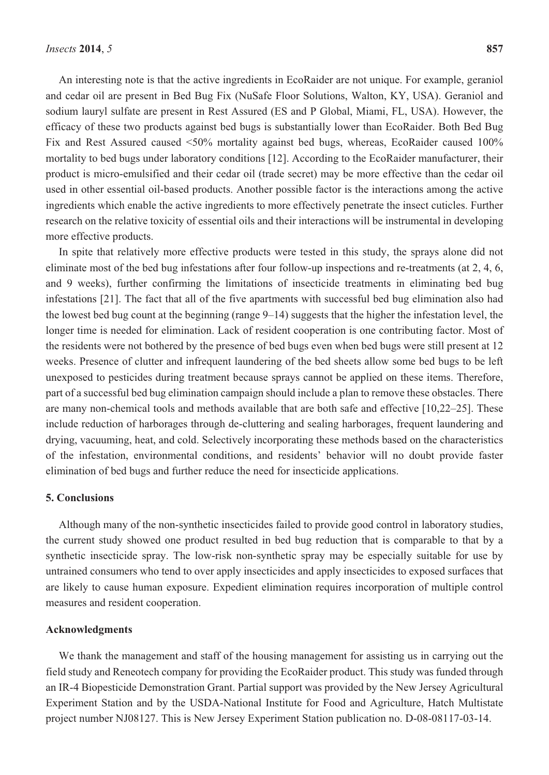An interesting note is that the active ingredients in EcoRaider are not unique. For example, geraniol and cedar oil are present in Bed Bug Fix (NuSafe Floor Solutions, Walton, KY, USA). Geraniol and sodium lauryl sulfate are present in Rest Assured (ES and P Global, Miami, FL, USA). However, the efficacy of these two products against bed bugs is substantially lower than EcoRaider. Both Bed Bug Fix and Rest Assured caused <50% mortality against bed bugs, whereas, EcoRaider caused 100% mortality to bed bugs under laboratory conditions [12]. According to the EcoRaider manufacturer, their product is micro-emulsified and their cedar oil (trade secret) may be more effective than the cedar oil used in other essential oil-based products. Another possible factor is the interactions among the active ingredients which enable the active ingredients to more effectively penetrate the insect cuticles. Further research on the relative toxicity of essential oils and their interactions will be instrumental in developing more effective products.

In spite that relatively more effective products were tested in this study, the sprays alone did not eliminate most of the bed bug infestations after four follow-up inspections and re-treatments (at 2, 4, 6, and 9 weeks), further confirming the limitations of insecticide treatments in eliminating bed bug infestations [21]. The fact that all of the five apartments with successful bed bug elimination also had the lowest bed bug count at the beginning (range 9–14) suggests that the higher the infestation level, the longer time is needed for elimination. Lack of resident cooperation is one contributing factor. Most of the residents were not bothered by the presence of bed bugs even when bed bugs were still present at 12 weeks. Presence of clutter and infrequent laundering of the bed sheets allow some bed bugs to be left unexposed to pesticides during treatment because sprays cannot be applied on these items. Therefore, part of a successful bed bug elimination campaign should include a plan to remove these obstacles. There are many non-chemical tools and methods available that are both safe and effective [10,22–25]. These include reduction of harborages through de-cluttering and sealing harborages, frequent laundering and drying, vacuuming, heat, and cold. Selectively incorporating these methods based on the characteristics of the infestation, environmental conditions, and residents' behavior will no doubt provide faster elimination of bed bugs and further reduce the need for insecticide applications.

## **5. Conclusions**

Although many of the non-synthetic insecticides failed to provide good control in laboratory studies, the current study showed one product resulted in bed bug reduction that is comparable to that by a synthetic insecticide spray. The low-risk non-synthetic spray may be especially suitable for use by untrained consumers who tend to over apply insecticides and apply insecticides to exposed surfaces that are likely to cause human exposure. Expedient elimination requires incorporation of multiple control measures and resident cooperation.

## **Acknowledgments**

We thank the management and staff of the housing management for assisting us in carrying out the field study and Reneotech company for providing the EcoRaider product. This study was funded through an IR-4 Biopesticide Demonstration Grant. Partial support was provided by the New Jersey Agricultural Experiment Station and by the USDA-National Institute for Food and Agriculture, Hatch Multistate project number NJ08127. This is New Jersey Experiment Station publication no. D-08-08117-03-14.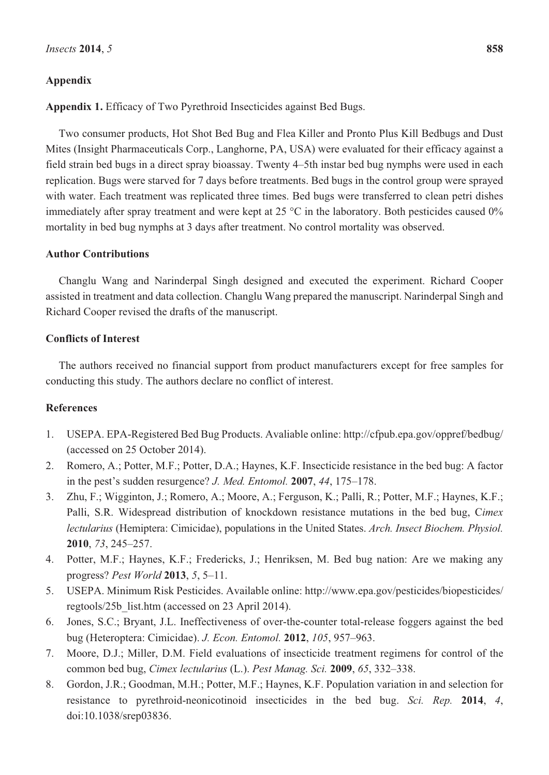# **Appendix**

**Appendix 1.** Efficacy of Two Pyrethroid Insecticides against Bed Bugs.

Two consumer products, Hot Shot Bed Bug and Flea Killer and Pronto Plus Kill Bedbugs and Dust Mites (Insight Pharmaceuticals Corp., Langhorne, PA, USA) were evaluated for their efficacy against a field strain bed bugs in a direct spray bioassay. Twenty 4–5th instar bed bug nymphs were used in each replication. Bugs were starved for 7 days before treatments. Bed bugs in the control group were sprayed with water. Each treatment was replicated three times. Bed bugs were transferred to clean petri dishes immediately after spray treatment and were kept at 25 °C in the laboratory. Both pesticides caused 0% mortality in bed bug nymphs at 3 days after treatment. No control mortality was observed.

## **Author Contributions**

Changlu Wang and Narinderpal Singh designed and executed the experiment. Richard Cooper assisted in treatment and data collection. Changlu Wang prepared the manuscript. Narinderpal Singh and Richard Cooper revised the drafts of the manuscript.

# **Conflicts of Interest**

The authors received no financial support from product manufacturers except for free samples for conducting this study. The authors declare no conflict of interest.

## **References**

- 1. USEPA. EPA-Registered Bed Bug Products. Avaliable online: http://cfpub.epa.gov/oppref/bedbug/ (accessed on 25 October 2014).
- 2. Romero, A.; Potter, M.F.; Potter, D.A.; Haynes, K.F. Insecticide resistance in the bed bug: A factor in the pest's sudden resurgence? *J. Med. Entomol.* **2007**, *44*, 175–178.
- 3. Zhu, F.; Wigginton, J.; Romero, A.; Moore, A.; Ferguson, K.; Palli, R.; Potter, M.F.; Haynes, K.F.; Palli, S.R. Widespread distribution of knockdown resistance mutations in the bed bug, C*imex lectularius* (Hemiptera: Cimicidae), populations in the United States. *Arch. Insect Biochem. Physiol.* **2010**, *73*, 245–257.
- 4. Potter, M.F.; Haynes, K.F.; Fredericks, J.; Henriksen, M. Bed bug nation: Are we making any progress? *Pest World* **2013**, *5*, 5–11.
- 5. USEPA. Minimum Risk Pesticides. Available online: http://www.epa.gov/pesticides/biopesticides/ regtools/25b\_list.htm (accessed on 23 April 2014).
- 6. Jones, S.C.; Bryant, J.L. Ineffectiveness of over-the-counter total-release foggers against the bed bug (Heteroptera: Cimicidae). *J. Econ. Entomol.* **2012**, *105*, 957–963.
- 7. Moore, D.J.; Miller, D.M. Field evaluations of insecticide treatment regimens for control of the common bed bug, *Cimex lectularius* (L.). *Pest Manag. Sci.* **2009**, *65*, 332–338.
- 8. Gordon, J.R.; Goodman, M.H.; Potter, M.F.; Haynes, K.F. Population variation in and selection for resistance to pyrethroid-neonicotinoid insecticides in the bed bug. *Sci. Rep.* **2014**, *4*, doi:10.1038/srep03836.